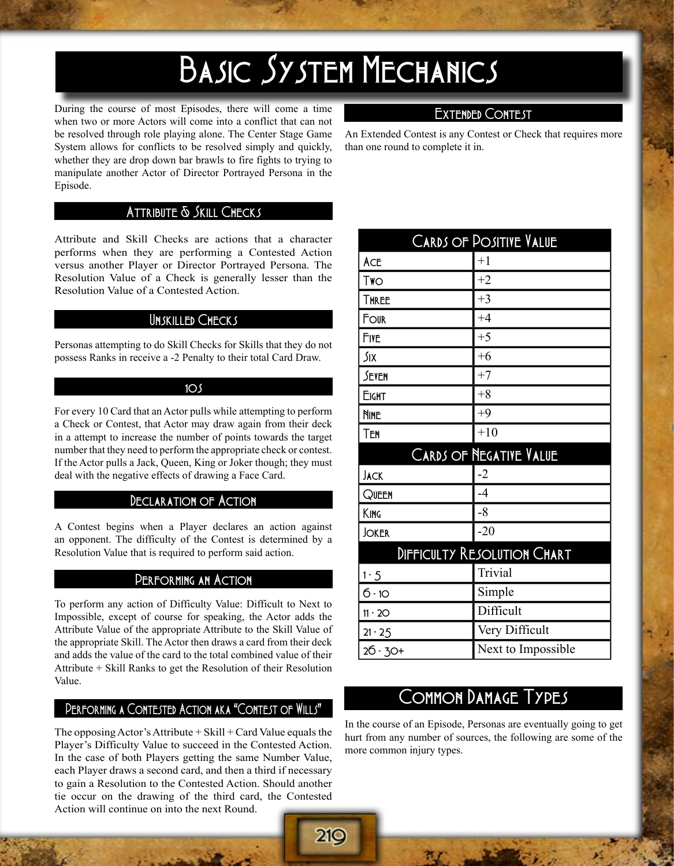# BASIC SYSTEM MECHANICS

During the course of most Episodes, there will come a time when two or more Actors will come into a conflict that can not be resolved through role playing alone. The Center Stage Game System allows for conflicts to be resolved simply and quickly, whether they are drop down bar brawls to fire fights to trying to manipulate another Actor of Director Portrayed Persona in the Episode.

## EXTENDED CONTEST

An Extended Contest is any Contest or Check that requires more than one round to complete it in.

## ATTRIBUTE & SKILL CHECKS

Attribute and Skill Checks are actions that a character performs when they are performing a Contested Action versus another Player or Director Portrayed Persona. The Resolution Value of a Check is generally lesser than the Resolution Value of a Contested Action.

#### Unskilled Checks

Personas attempting to do Skill Checks for Skills that they do not possess Ranks in receive a -2 Penalty to their total Card Draw.

#### $10<sub>5</sub>$

For every 10 Card that an Actor pulls while attempting to perform a Check or Contest, that Actor may draw again from their deck in a attempt to increase the number of points towards the target number that they need to perform the appropriate check or contest. If the Actor pulls a Jack, Queen, King or Joker though; they must deal with the negative effects of drawing a Face Card.

## DECLARATION OF ACTION

A Contest begins when a Player declares an action against an opponent. The difficulty of the Contest is determined by a Resolution Value that is required to perform said action.

#### Performing an Action

To perform any action of Difficulty Value: Difficult to Next to Impossible, except of course for speaking, the Actor adds the Attribute Value of the appropriate Attribute to the Skill Value of the appropriate Skill. The Actor then draws a card from their deck and adds the value of the card to the total combined value of their Attribute + Skill Ranks to get the Resolution of their Resolution Value.

## Performing a Contested Action aka "Contest of Wills"

The opposing Actor's Attribute  $+$  Skill  $+$  Card Value equals the Player's Difficulty Value to succeed in the Contested Action. In the case of both Players getting the same Number Value, each Player draws a second card, and then a third if necessary to gain a Resolution to the Contested Action. Should another tie occur on the drawing of the third card, the Contested Action will continue on into the next Round.

210

| <b>CARDS OF POSITIVE VALUE</b> |                                        |  |
|--------------------------------|----------------------------------------|--|
| ACE                            | $+1$                                   |  |
| Two                            | $+2$                                   |  |
| <b>THREE</b>                   | $+3$                                   |  |
| FOUR                           | $+4$                                   |  |
| FIVE                           | $+5$                                   |  |
| Six                            | $+6$                                   |  |
| SEVEN                          | $+7$                                   |  |
| <b>EIGHT</b>                   | $+8$                                   |  |
| <b>NINE</b>                    | $+9$                                   |  |
| TEN                            | $+10$                                  |  |
| CARDS OF NEGATIVE VALUE        |                                        |  |
| <b>JACK</b>                    | $-2$                                   |  |
| QUEEN                          | $-4$                                   |  |
| KING                           | $-8$                                   |  |
|                                |                                        |  |
| <b>JOKER</b>                   | $-20$                                  |  |
|                                |                                        |  |
| $1 - 5$                        | DIFFICULTY RESOLUTION CHART<br>Trivial |  |
| $6 - 10$                       | Simple                                 |  |
| $11 - 20$                      | Difficult                              |  |
| $21 - 25$                      | Very Difficult                         |  |

## COMMON DAMAGE TYPES

In the course of an Episode, Personas are eventually going to get hurt from any number of sources, the following are some of the more common injury types.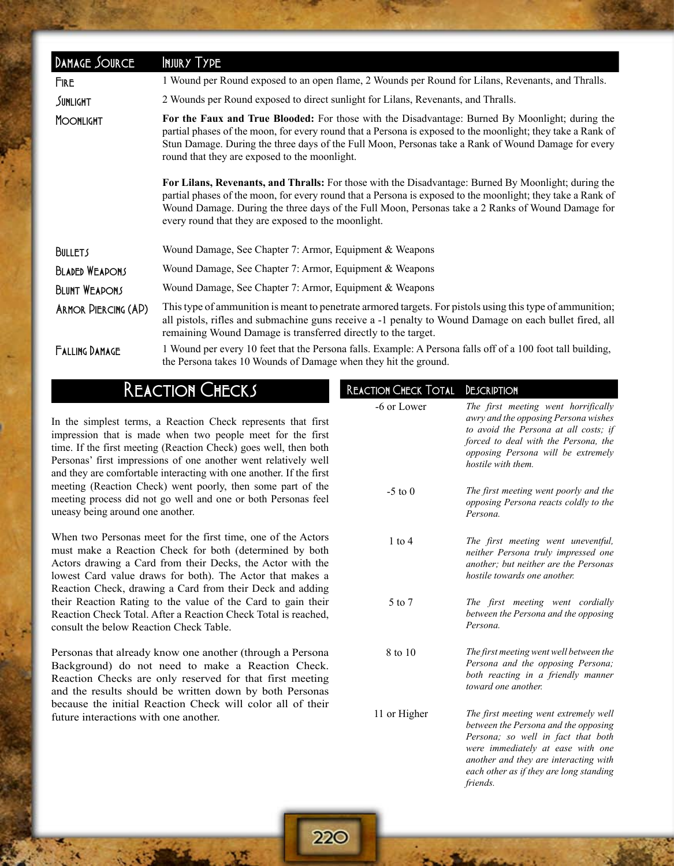| DAMAGE SOURCE         | INJURY TYPE                                                                                                                                                                                                                                                                                                                                                                     |
|-----------------------|---------------------------------------------------------------------------------------------------------------------------------------------------------------------------------------------------------------------------------------------------------------------------------------------------------------------------------------------------------------------------------|
| <b>FIRE</b>           | 1 Wound per Round exposed to an open flame, 2 Wounds per Round for Lilans, Revenants, and Thralls.                                                                                                                                                                                                                                                                              |
| SUNLIGHT              | 2 Wounds per Round exposed to direct sunlight for Lilans, Revenants, and Thralls.                                                                                                                                                                                                                                                                                               |
| <b>MOONLIGHT</b>      | For the Faux and True Blooded: For those with the Disadvantage: Burned By Moonlight; during the<br>partial phases of the moon, for every round that a Persona is exposed to the moonlight; they take a Rank of<br>Stun Damage. During the three days of the Full Moon, Personas take a Rank of Wound Damage for every<br>round that they are exposed to the moonlight.          |
|                       | For Lilans, Revenants, and Thralls: For those with the Disadvantage: Burned By Moonlight; during the<br>partial phases of the moon, for every round that a Persona is exposed to the moonlight; they take a Rank of<br>Wound Damage. During the three days of the Full Moon, Personas take a 2 Ranks of Wound Damage for<br>every round that they are exposed to the moonlight. |
| <b>BULLETS</b>        | Wound Damage, See Chapter 7: Armor, Equipment & Weapons                                                                                                                                                                                                                                                                                                                         |
| <b>BLADED WEAPONS</b> | Wound Damage, See Chapter 7: Armor, Equipment & Weapons                                                                                                                                                                                                                                                                                                                         |
| <b>BLUNT WEAPONS</b>  | Wound Damage, See Chapter 7: Armor, Equipment & Weapons                                                                                                                                                                                                                                                                                                                         |
| ARMOR PIERCING (AP)   | This type of ammunition is meant to penetrate armored targets. For pistols using this type of ammunition;<br>all pistols, rifles and submachine guns receive a -1 penalty to Wound Damage on each bullet fired, all<br>remaining Wound Damage is transferred directly to the target.                                                                                            |
| <b>FALLING DAMAGE</b> | 1 Wound per every 10 feet that the Persona falls. Example: A Persona falls off of a 100 foot tall building,<br>the Persona takes 10 Wounds of Damage when they hit the ground.                                                                                                                                                                                                  |

## **REACTION CHECKS**

In the simplest terms, a Reaction Check represents that first impression that is made when two people meet for the first time. If the first meeting (Reaction Check) goes well, then both Personas' first impressions of one another went relatively well and they are comfortable interacting with one another. If the first meeting (Reaction Check) went poorly, then some part of the meeting process did not go well and one or both Personas feel uneasy being around one another.

When two Personas meet for the first time, one of the Actors must make a Reaction Check for both (determined by both Actors drawing a Card from their Decks, the Actor with the lowest Card value draws for both). The Actor that makes a Reaction Check, drawing a Card from their Deck and adding their Reaction Rating to the value of the Card to gain their Reaction Check Total. After a Reaction Check Total is reached, consult the below Reaction Check Table.

Personas that already know one another (through a Persona Background) do not need to make a Reaction Check. Reaction Checks are only reserved for that first meeting and the results should be written down by both Personas because the initial Reaction Check will color all of their future interactions with one another.

| <b>REACTION CHECK TOTAL</b> | DESCRIPTION                                                                                                                                                                                                                                              |
|-----------------------------|----------------------------------------------------------------------------------------------------------------------------------------------------------------------------------------------------------------------------------------------------------|
| -6 or Lower                 | The first meeting went horrifically<br>awry and the opposing Persona wishes<br>to avoid the Persona at all costs; if<br>forced to deal with the Persona, the<br>opposing Persona will be extremely<br>hostile with them.                                 |
| $-5$ to 0                   | The first meeting went poorly and the<br>opposing Persona reacts coldly to the<br>Persona.                                                                                                                                                               |
| $1$ to $4$                  | The first meeting went uneventful,<br>neither Persona truly impressed one<br>another; but neither are the Personas<br>hostile towards one another.                                                                                                       |
| 5 to 7                      | The first meeting went cordially<br>between the Persona and the opposing<br>Persona.                                                                                                                                                                     |
| 8 to 10                     | The first meeting went well between the<br>Persona and the opposing Persona;<br>both reacting in a friendly manner<br>toward one another.                                                                                                                |
| 11 or Higher                | The first meeting went extremely well<br>between the Persona and the opposing<br>Persona; so well in fact that both<br>were immediately at ease with one<br>another and they are interacting with<br>each other as if they are long standing<br>friends. |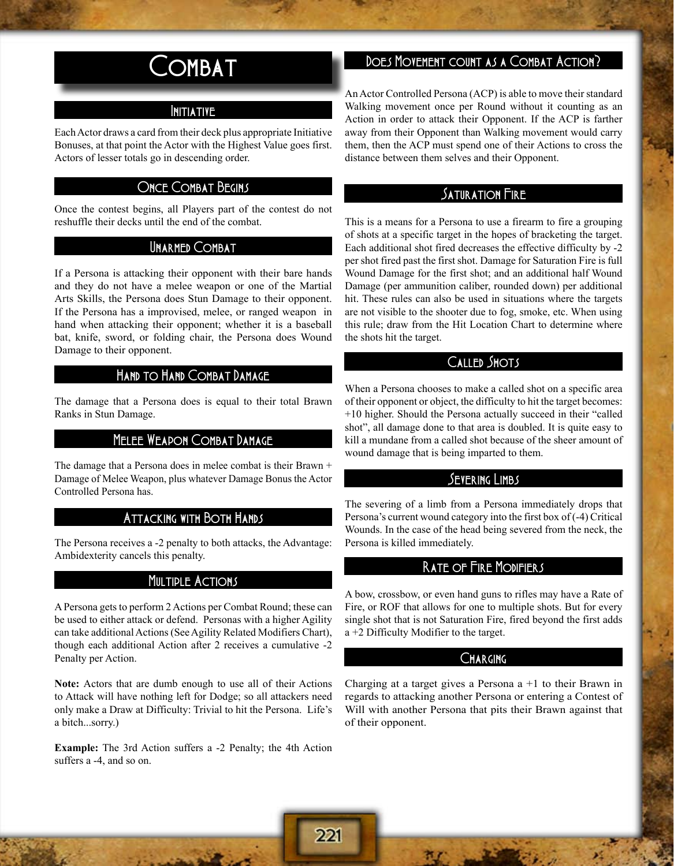## COMBAT

## Initiative

Each Actor draws a card from their deck plus appropriate Initiative Bonuses, at that point the Actor with the Highest Value goes first. Actors of lesser totals go in descending order.

## ONCE COMBAT BEGINS

Once the contest begins, all Players part of the contest do not reshuffle their decks until the end of the combat.

### UNARMED COMBAT

If a Persona is attacking their opponent with their bare hands and they do not have a melee weapon or one of the Martial Arts Skills, the Persona does Stun Damage to their opponent. If the Persona has a improvised, melee, or ranged weapon in hand when attacking their opponent; whether it is a baseball bat, knife, sword, or folding chair, the Persona does Wound Damage to their opponent.

## Hand to Hand Combat Damage

The damage that a Persona does is equal to their total Brawn Ranks in Stun Damage.

## Melee Weapon Combat Damage

The damage that a Persona does in melee combat is their Brawn + Damage of Melee Weapon, plus whatever Damage Bonus the Actor Controlled Persona has.

## Attacking with Both Hands

The Persona receives a -2 penalty to both attacks, the Advantage: Ambidexterity cancels this penalty.

#### **MULTIPLE ACTIONS**

A Persona gets to perform 2 Actions per Combat Round; these can be used to either attack or defend. Personas with a higher Agility can take additional Actions (See Agility Related Modifiers Chart), though each additional Action after 2 receives a cumulative -2 Penalty per Action.

**Note:** Actors that are dumb enough to use all of their Actions to Attack will have nothing left for Dodge; so all attackers need only make a Draw at Difficulty: Trivial to hit the Persona. Life's a bitch...sorry.)

**Example:** The 3rd Action suffers a -2 Penalty; the 4th Action suffers a -4, and so on.

## DOES MOVEMENT COUNT AS A COMBAT ACTION?

An Actor Controlled Persona (ACP) is able to move their standard Walking movement once per Round without it counting as an Action in order to attack their Opponent. If the ACP is farther away from their Opponent than Walking movement would carry them, then the ACP must spend one of their Actions to cross the distance between them selves and their Opponent.

## SATURATION FIRE

This is a means for a Persona to use a firearm to fire a grouping of shots at a specific target in the hopes of bracketing the target. Each additional shot fired decreases the effective difficulty by -2 per shot fired past the first shot. Damage for Saturation Fire is full Wound Damage for the first shot; and an additional half Wound Damage (per ammunition caliber, rounded down) per additional hit. These rules can also be used in situations where the targets are not visible to the shooter due to fog, smoke, etc. When using this rule; draw from the Hit Location Chart to determine where the shots hit the target.

### Called Shots

When a Persona chooses to make a called shot on a specific area of their opponent or object, the difficulty to hit the target becomes: +10 higher. Should the Persona actually succeed in their "called shot", all damage done to that area is doubled. It is quite easy to kill a mundane from a called shot because of the sheer amount of wound damage that is being imparted to them.

## Severing Limbs

The severing of a limb from a Persona immediately drops that Persona's current wound category into the first box of (-4) Critical Wounds. In the case of the head being severed from the neck, the Persona is killed immediately.

## Rate of Fire Modifiers

A bow, crossbow, or even hand guns to rifles may have a Rate of Fire, or ROF that allows for one to multiple shots. But for every single shot that is not Saturation Fire, fired beyond the first adds a +2 Difficulty Modifier to the target.

## CHARGING

Charging at a target gives a Persona  $a + 1$  to their Brawn in regards to attacking another Persona or entering a Contest of Will with another Persona that pits their Brawn against that of their opponent.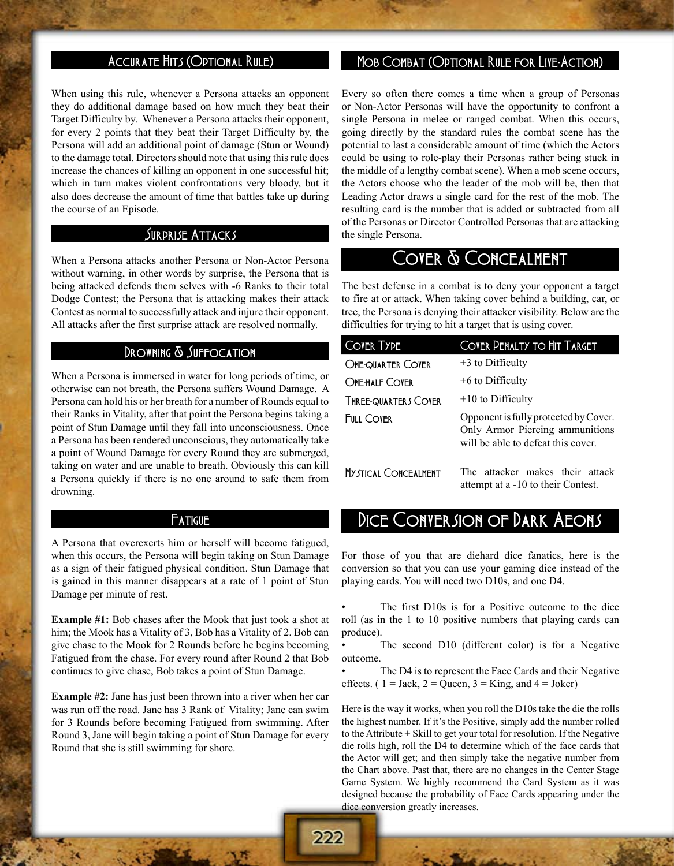## Accurate Hits (Optional Rule)

When using this rule, whenever a Persona attacks an opponent they do additional damage based on how much they beat their Target Difficulty by. Whenever a Persona attacks their opponent, for every 2 points that they beat their Target Difficulty by, the Persona will add an additional point of damage (Stun or Wound) to the damage total. Directors should note that using this rule does increase the chances of killing an opponent in one successful hit; which in turn makes violent confrontations very bloody, but it also does decrease the amount of time that battles take up during the course of an Episode.

#### Surprise Attacks

When a Persona attacks another Persona or Non-Actor Persona without warning, in other words by surprise, the Persona that is being attacked defends them selves with -6 Ranks to their total Dodge Contest; the Persona that is attacking makes their attack Contest as normal to successfully attack and injure their opponent. All attacks after the first surprise attack are resolved normally.

## DROWNING & SUFFOCATION

When a Persona is immersed in water for long periods of time, or otherwise can not breath, the Persona suffers Wound Damage. A Persona can hold his or her breath for a number of Rounds equal to their Ranks in Vitality, after that point the Persona begins taking a point of Stun Damage until they fall into unconsciousness. Once a Persona has been rendered unconscious, they automatically take a point of Wound Damage for every Round they are submerged, taking on water and are unable to breath. Obviously this can kill a Persona quickly if there is no one around to safe them from drowning.

#### **Fatigue**

A Persona that overexerts him or herself will become fatigued, when this occurs, the Persona will begin taking on Stun Damage as a sign of their fatigued physical condition. Stun Damage that is gained in this manner disappears at a rate of 1 point of Stun Damage per minute of rest.

**Example #1:** Bob chases after the Mook that just took a shot at him; the Mook has a Vitality of 3, Bob has a Vitality of 2. Bob can give chase to the Mook for 2 Rounds before he begins becoming Fatigued from the chase. For every round after Round 2 that Bob continues to give chase, Bob takes a point of Stun Damage.

**Example #2:** Jane has just been thrown into a river when her car was run off the road. Jane has 3 Rank of Vitality; Jane can swim for 3 Rounds before becoming Fatigued from swimming. After Round 3, Jane will begin taking a point of Stun Damage for every Round that she is still swimming for shore.

## Mob Combat (Optional Rule for Live-Action)

Every so often there comes a time when a group of Personas or Non-Actor Personas will have the opportunity to confront a single Persona in melee or ranged combat. When this occurs, going directly by the standard rules the combat scene has the potential to last a considerable amount of time (which the Actors could be using to role-play their Personas rather being stuck in the middle of a lengthy combat scene). When a mob scene occurs, the Actors choose who the leader of the mob will be, then that Leading Actor draws a single card for the rest of the mob. The resulting card is the number that is added or subtracted from all of the Personas or Director Controlled Personas that are attacking the single Persona.

## COVER & CONCEALMENT

The best defense in a combat is to deny your opponent a target to fire at or attack. When taking cover behind a building, car, or tree, the Persona is denying their attacker visibility. Below are the difficulties for trying to hit a target that is using cover.

| <b>COVER TYPE</b>           | COVER PENALTY TO HIT TARGET                                                                                    |
|-----------------------------|----------------------------------------------------------------------------------------------------------------|
| <b>ONE-QUARTER COVER</b>    | $+3$ to Difficulty                                                                                             |
| ONE-HALF COVER              | $+6$ to Difficulty                                                                                             |
| THREE-QUARTERS COVER        | $+10$ to Difficulty                                                                                            |
| <b>FULL COVER</b>           | Opponent is fully protected by Cover.<br>Only Armor Piercing ammunitions<br>will be able to defeat this cover. |
| <b>MYSTICAL CONCEALMENT</b> | The attacker makes their attack<br>attempt at a -10 to their Contest.                                          |

## DICE CONVERSION OF DARK AEONS

For those of you that are diehard dice fanatics, here is the conversion so that you can use your gaming dice instead of the playing cards. You will need two D10s, and one D4.

The first D10s is for a Positive outcome to the dice roll (as in the 1 to 10 positive numbers that playing cards can produce).

The second D10 (different color) is for a Negative outcome.

The D4 is to represent the Face Cards and their Negative effects. (  $1 =$  Jack,  $2 =$  Queen,  $3 =$  King, and  $4 =$  Joker)

Here is the way it works, when you roll the D10s take the die the rolls the highest number. If it's the Positive, simply add the number rolled to the Attribute + Skill to get your total for resolution. If the Negative die rolls high, roll the D4 to determine which of the face cards that the Actor will get; and then simply take the negative number from the Chart above. Past that, there are no changes in the Center Stage Game System. We highly recommend the Card System as it was designed because the probability of Face Cards appearing under the dice conversion greatly increases.